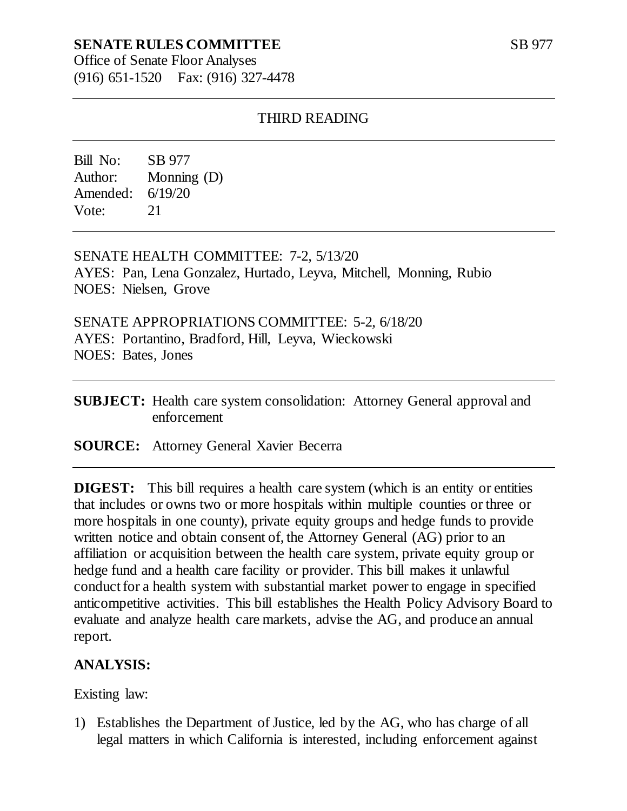# **SENATE RULES COMMITTEE**

Office of Senate Floor Analyses (916) 651-1520 Fax: (916) 327-4478

### THIRD READING

Bill No: SB 977 Author: Monning (D) Amended: 6/19/20 Vote: 21

### SENATE HEALTH COMMITTEE: 7-2, 5/13/20 AYES: Pan, Lena Gonzalez, Hurtado, Leyva, Mitchell, Monning, Rubio NOES: Nielsen, Grove

SENATE APPROPRIATIONS COMMITTEE: 5-2, 6/18/20 AYES: Portantino, Bradford, Hill, Leyva, Wieckowski NOES: Bates, Jones

**SUBJECT:** Health care system consolidation: Attorney General approval and enforcement

**SOURCE:** Attorney General Xavier Becerra

**DIGEST:** This bill requires a health care system (which is an entity or entities that includes or owns two or more hospitals within multiple counties or three or more hospitals in one county), private equity groups and hedge funds to provide written notice and obtain consent of, the Attorney General (AG) prior to an affiliation or acquisition between the health care system, private equity group or hedge fund and a health care facility or provider. This bill makes it unlawful conduct for a health system with substantial market power to engage in specified anticompetitive activities. This bill establishes the Health Policy Advisory Board to evaluate and analyze health care markets, advise the AG, and produce an annual report.

# **ANALYSIS:**

Existing law:

1) Establishes the Department of Justice, led by the AG, who has charge of all legal matters in which California is interested, including enforcement against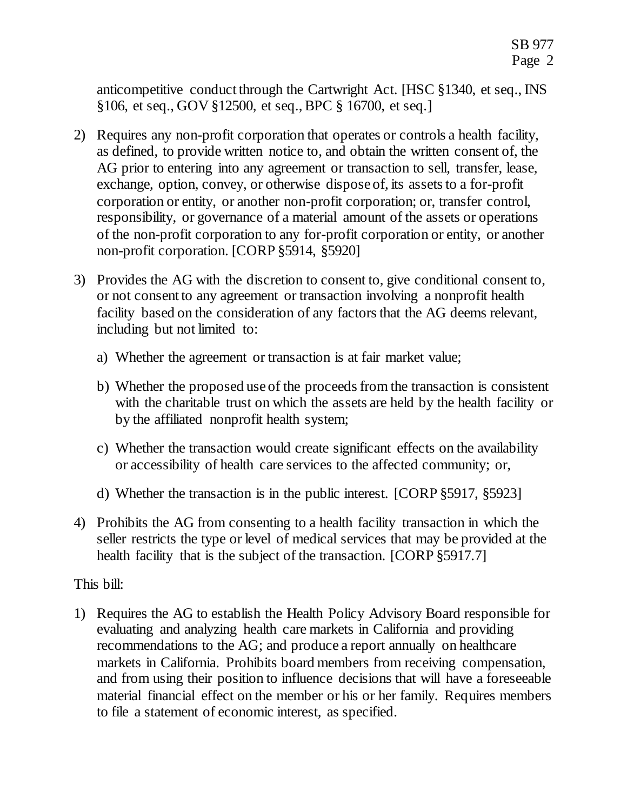anticompetitive conduct through the Cartwright Act. [HSC §1340, et seq., INS §106, et seq., GOV §12500, et seq., BPC § 16700, et seq.]

- 2) Requires any non-profit corporation that operates or controls a health facility, as defined, to provide written notice to, and obtain the written consent of, the AG prior to entering into any agreement or transaction to sell, transfer, lease, exchange, option, convey, or otherwise dispose of, its assets to a for-profit corporation or entity, or another non-profit corporation; or, transfer control, responsibility, or governance of a material amount of the assets or operations of the non-profit corporation to any for-profit corporation or entity, or another non-profit corporation. [CORP §5914, §5920]
- 3) Provides the AG with the discretion to consent to, give conditional consent to, or not consent to any agreement or transaction involving a nonprofit health facility based on the consideration of any factors that the AG deems relevant, including but not limited to:
	- a) Whether the agreement or transaction is at fair market value;
	- b) Whether the proposed use of the proceeds from the transaction is consistent with the charitable trust on which the assets are held by the health facility or by the affiliated nonprofit health system;
	- c) Whether the transaction would create significant effects on the availability or accessibility of health care services to the affected community; or,
	- d) Whether the transaction is in the public interest. [CORP §5917, §5923]
- 4) Prohibits the AG from consenting to a health facility transaction in which the seller restricts the type or level of medical services that may be provided at the health facility that is the subject of the transaction. [CORP §5917.7]

#### This bill:

1) Requires the AG to establish the Health Policy Advisory Board responsible for evaluating and analyzing health care markets in California and providing recommendations to the AG; and produce a report annually on healthcare markets in California. Prohibits board members from receiving compensation, and from using their position to influence decisions that will have a foreseeable material financial effect on the member or his or her family. Requires members to file a statement of economic interest, as specified.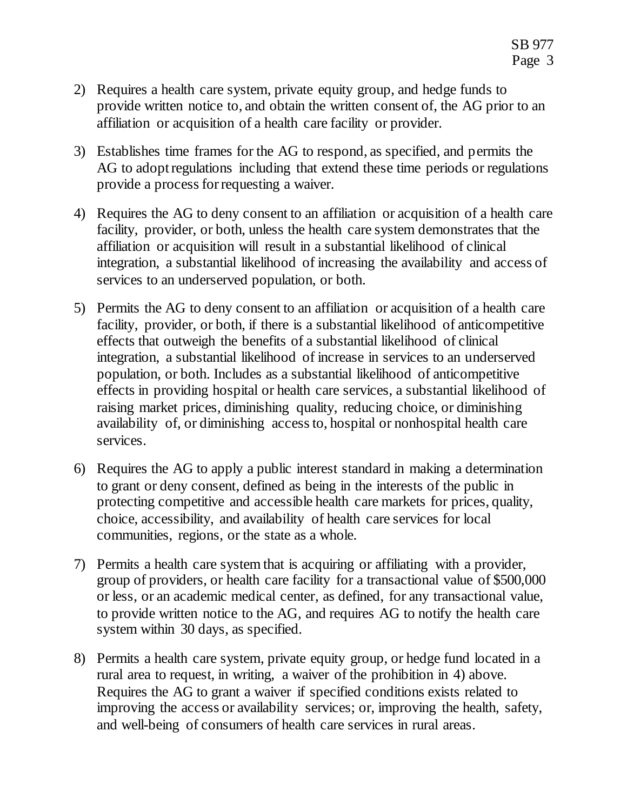- 2) Requires a health care system, private equity group, and hedge funds to provide written notice to, and obtain the written consent of, the AG prior to an affiliation or acquisition of a health care facility or provider.
- 3) Establishes time frames for the AG to respond, as specified, and permits the AG to adopt regulations including that extend these time periods or regulations provide a process for requesting a waiver.
- 4) Requires the AG to deny consent to an affiliation or acquisition of a health care facility, provider, or both, unless the health care system demonstrates that the affiliation or acquisition will result in a substantial likelihood of clinical integration, a substantial likelihood of increasing the availability and access of services to an underserved population, or both.
- 5) Permits the AG to deny consent to an affiliation or acquisition of a health care facility, provider, or both, if there is a substantial likelihood of anticompetitive effects that outweigh the benefits of a substantial likelihood of clinical integration, a substantial likelihood of increase in services to an underserved population, or both. Includes as a substantial likelihood of anticompetitive effects in providing hospital or health care services, a substantial likelihood of raising market prices, diminishing quality, reducing choice, or diminishing availability of, or diminishing access to, hospital or nonhospital health care services.
- 6) Requires the AG to apply a public interest standard in making a determination to grant or deny consent, defined as being in the interests of the public in protecting competitive and accessible health care markets for prices, quality, choice, accessibility, and availability of health care services for local communities, regions, or the state as a whole.
- 7) Permits a health care system that is acquiring or affiliating with a provider, group of providers, or health care facility for a transactional value of \$500,000 or less, or an academic medical center, as defined, for any transactional value, to provide written notice to the AG, and requires AG to notify the health care system within 30 days, as specified.
- 8) Permits a health care system, private equity group, or hedge fund located in a rural area to request, in writing, a waiver of the prohibition in 4) above. Requires the AG to grant a waiver if specified conditions exists related to improving the access or availability services; or, improving the health, safety, and well-being of consumers of health care services in rural areas.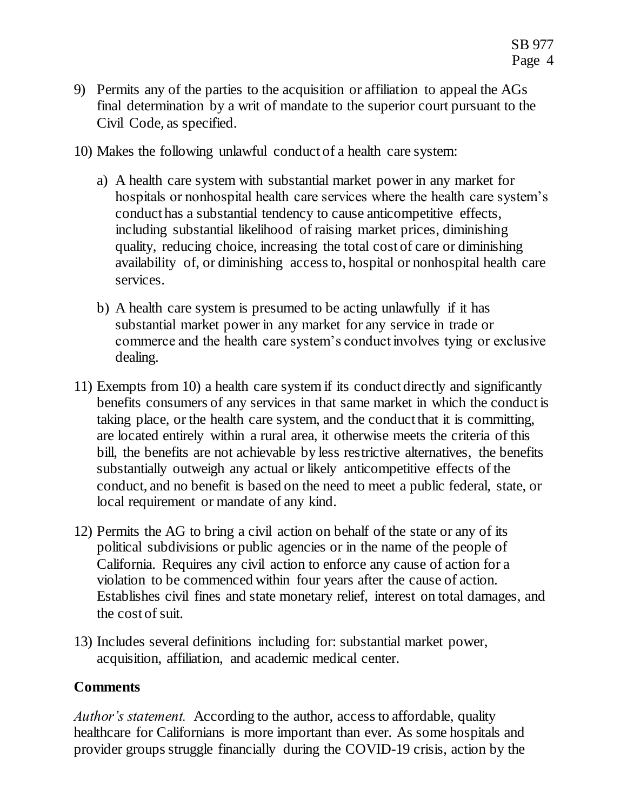- 9) Permits any of the parties to the acquisition or affiliation to appeal the AGs final determination by a writ of mandate to the superior court pursuant to the Civil Code, as specified.
- 10) Makes the following unlawful conduct of a health care system:
	- a) A health care system with substantial market power in any market for hospitals or nonhospital health care services where the health care system's conduct has a substantial tendency to cause anticompetitive effects, including substantial likelihood of raising market prices, diminishing quality, reducing choice, increasing the total cost of care or diminishing availability of, or diminishing access to, hospital or nonhospital health care services.
	- b) A health care system is presumed to be acting unlawfully if it has substantial market power in any market for any service in trade or commerce and the health care system's conduct involves tying or exclusive dealing.
- 11) Exempts from 10) a health care system if its conduct directly and significantly benefits consumers of any services in that same market in which the conduct is taking place, or the health care system, and the conduct that it is committing, are located entirely within a rural area, it otherwise meets the criteria of this bill, the benefits are not achievable by less restrictive alternatives, the benefits substantially outweigh any actual or likely anticompetitive effects of the conduct, and no benefit is based on the need to meet a public federal, state, or local requirement or mandate of any kind.
- 12) Permits the AG to bring a civil action on behalf of the state or any of its political subdivisions or public agencies or in the name of the people of California. Requires any civil action to enforce any cause of action for a violation to be commenced within four years after the cause of action. Establishes civil fines and state monetary relief, interest on total damages, and the cost of suit.
- 13) Includes several definitions including for: substantial market power, acquisition, affiliation, and academic medical center.

# **Comments**

*Author's statement.* According to the author, access to affordable, quality healthcare for Californians is more important than ever. As some hospitals and provider groups struggle financially during the COVID-19 crisis, action by the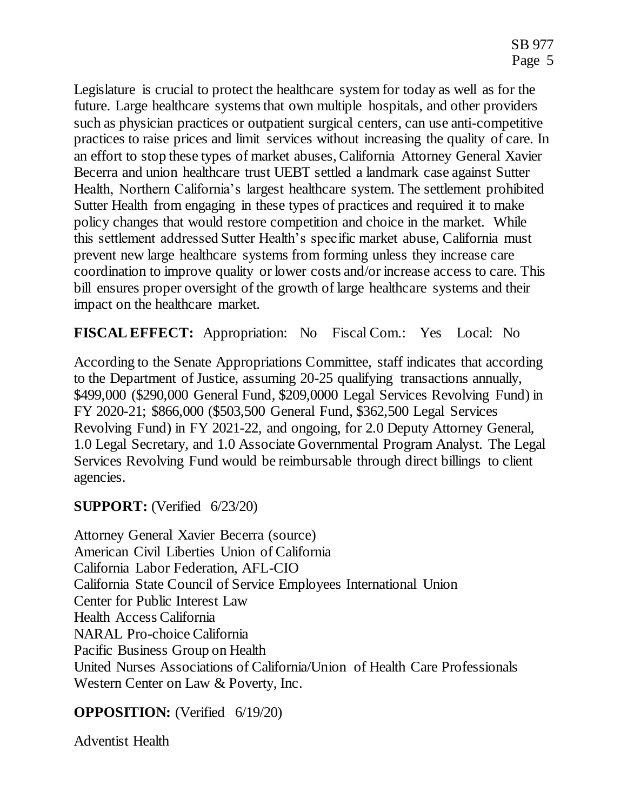Legislature is crucial to protect the healthcare system for today as well as for the future. Large healthcare systems that own multiple hospitals, and other providers such as physician practices or outpatient surgical centers, can use anti-competitive practices to raise prices and limit services without increasing the quality of care. In an effort to stop these types of market abuses, California Attorney General Xavier Becerra and union healthcare trust UEBT settled a landmark case against Sutter Health, Northern California's largest healthcare system. The settlement prohibited Sutter Health from engaging in these types of practices and required it to make policy changes that would restore competition and choice in the market. While this settlement addressed Sutter Health's specific market abuse, California must prevent new large healthcare systems from forming unless they increase care coordination to improve quality or lower costs and/or increase access to care. This bill ensures proper oversight of the growth of large healthcare systems and their impact on the healthcare market.

**FISCAL EFFECT:** Appropriation: No Fiscal Com.: Yes Local: No

According to the Senate Appropriations Committee, staff indicates that according to the Department of Justice, assuming 20-25 qualifying transactions annually, \$499,000 (\$290,000 General Fund, \$209,0000 Legal Services Revolving Fund) in FY 2020-21; \$866,000 (\$503,500 General Fund, \$362,500 Legal Services Revolving Fund) in FY 2021-22, and ongoing, for 2.0 Deputy Attorney General, 1.0 Legal Secretary, and 1.0 Associate Governmental Program Analyst. The Legal Services Revolving Fund would be reimbursable through direct billings to client agencies.

# **SUPPORT:** (Verified 6/23/20)

Attorney General Xavier Becerra (source) American Civil Liberties Union of California California Labor Federation, AFL-CIO California State Council of Service Employees International Union Center for Public Interest Law Health Access California NARAL Pro-choice California Pacific Business Group on Health United Nurses Associations of California/Union of Health Care Professionals Western Center on Law & Poverty, Inc.

### **OPPOSITION:** (Verified 6/19/20)

Adventist Health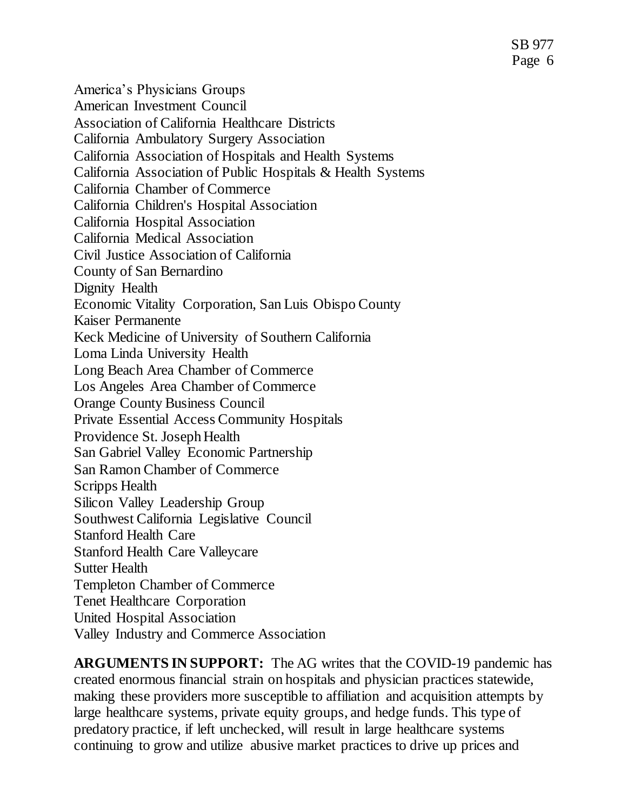America's Physicians Groups American Investment Council Association of California Healthcare Districts California Ambulatory Surgery Association California Association of Hospitals and Health Systems California Association of Public Hospitals & Health Systems California Chamber of Commerce California Children's Hospital Association California Hospital Association California Medical Association Civil Justice Association of California County of San Bernardino Dignity Health Economic Vitality Corporation, San Luis Obispo County Kaiser Permanente Keck Medicine of University of Southern California Loma Linda University Health Long Beach Area Chamber of Commerce Los Angeles Area Chamber of Commerce Orange County Business Council Private Essential Access Community Hospitals Providence St. Joseph Health San Gabriel Valley Economic Partnership San Ramon Chamber of Commerce Scripps Health Silicon Valley Leadership Group Southwest California Legislative Council Stanford Health Care Stanford Health Care Valleycare Sutter Health Templeton Chamber of Commerce Tenet Healthcare Corporation

United Hospital Association

Valley Industry and Commerce Association

**ARGUMENTS IN SUPPORT:** The AG writes that the COVID-19 pandemic has created enormous financial strain on hospitals and physician practices statewide, making these providers more susceptible to affiliation and acquisition attempts by large healthcare systems, private equity groups, and hedge funds. This type of predatory practice, if left unchecked, will result in large healthcare systems continuing to grow and utilize abusive market practices to drive up prices and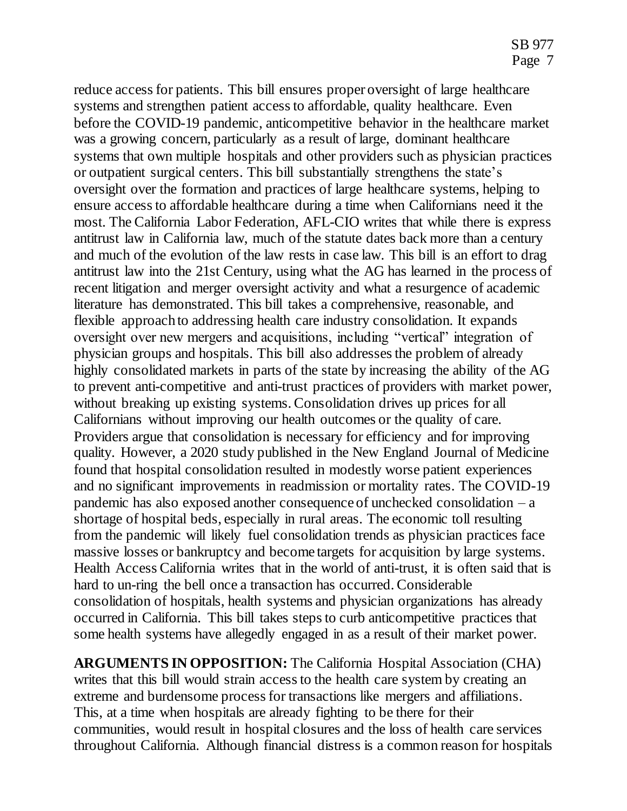reduce access for patients. This bill ensures proper oversight of large healthcare systems and strengthen patient access to affordable, quality healthcare. Even before the COVID-19 pandemic, anticompetitive behavior in the healthcare market was a growing concern, particularly as a result of large, dominant healthcare systems that own multiple hospitals and other providers such as physician practices or outpatient surgical centers. This bill substantially strengthens the state's oversight over the formation and practices of large healthcare systems, helping to ensure access to affordable healthcare during a time when Californians need it the most. The California Labor Federation, AFL-CIO writes that while there is express antitrust law in California law, much of the statute dates back more than a century and much of the evolution of the law rests in case law. This bill is an effort to drag antitrust law into the 21st Century, using what the AG has learned in the process of recent litigation and merger oversight activity and what a resurgence of academic literature has demonstrated. This bill takes a comprehensive, reasonable, and flexible approach to addressing health care industry consolidation. It expands oversight over new mergers and acquisitions, including "vertical" integration of physician groups and hospitals. This bill also addresses the problem of already highly consolidated markets in parts of the state by increasing the ability of the AG to prevent anti-competitive and anti-trust practices of providers with market power, without breaking up existing systems. Consolidation drives up prices for all Californians without improving our health outcomes or the quality of care. Providers argue that consolidation is necessary for efficiency and for improving quality. However, a 2020 study published in the New England Journal of Medicine found that hospital consolidation resulted in modestly worse patient experiences and no significant improvements in readmission or mortality rates. The COVID-19 pandemic has also exposed another consequence of unchecked consolidation – a shortage of hospital beds, especially in rural areas. The economic toll resulting from the pandemic will likely fuel consolidation trends as physician practices face massive losses or bankruptcy and become targets for acquisition by large systems. Health Access California writes that in the world of anti-trust, it is often said that is hard to un-ring the bell once a transaction has occurred. Considerable consolidation of hospitals, health systems and physician organizations has already occurred in California. This bill takes steps to curb anticompetitive practices that some health systems have allegedly engaged in as a result of their market power.

**ARGUMENTS IN OPPOSITION:** The California Hospital Association (CHA) writes that this bill would strain access to the health care system by creating an extreme and burdensome process for transactions like mergers and affiliations. This, at a time when hospitals are already fighting to be there for their communities, would result in hospital closures and the loss of health care services throughout California. Although financial distress is a common reason for hospitals